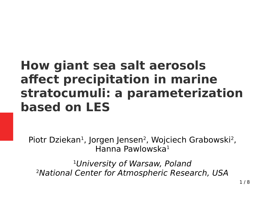#### **How giant sea salt aerosols affect precipitation in marine stratocumuli: a parameterization based on LES**

Piotr Dziekan<sup>1</sup>, Jorgen Jensen<sup>2</sup>, Wojciech Grabowski<sup>2</sup>, Hanna Pawlowska<sup>1</sup>

<sup>1</sup>University of Warsaw, Poland 2National Center for Atmospheric Research, USA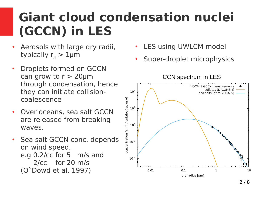### **Giant cloud condensation nuclei (GCCN) in LES**

- Aerosols with large dry radii, typically  $\mathsf{r}_{\mathsf{d}} > 1$ μm
- Droplets formed on GCCN can grow to  $r > 20$ μm through condensation, hence they can initiate collisioncoalescence
- Over oceans, sea salt GCCN are released from breaking waves.
- Sea salt GCCN conc. depends on wind speed, e.g 0.2/cc for 5 m/s and 2/cc for 20 m/s (O`Dowd et al. 1997)
- LES using UWLCM model
- Super-droplet microphysics

CCN spectrum in LES

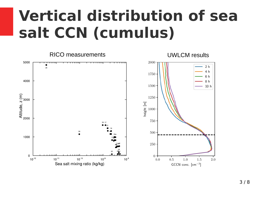## **Vertical distribution of sea salt CCN (cumulus)**

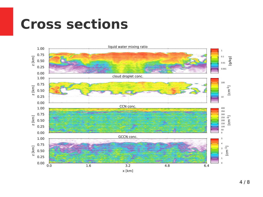## **Cross sections**

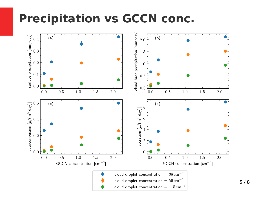#### **Precipitation vs GCCN conc.**



5 / 8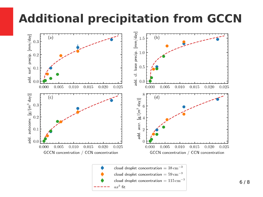#### **Additional precipitation from GCCN**



 $ax^b$  fit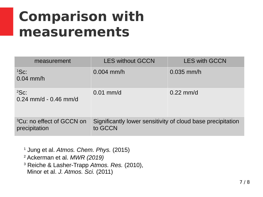## **Comparison with measurements**

| measurement                                            | <b>LES without GCCN</b>                                                | <b>LES with GCCN</b> |
|--------------------------------------------------------|------------------------------------------------------------------------|----------------------|
| ${}^{1}$ Sc:<br>$0.04$ mm/h                            | $0.004$ mm/h                                                           | $0.035$ mm/h         |
| ${}^{2}Sc$ :<br>$0.24$ mm/d - 0.46 mm/d                | $0.01$ mm/d                                                            | $0.22$ mm/d          |
| <sup>3</sup> Cu: no effect of GCCN on<br>precipitation | Significantly lower sensitivity of cloud base precipitation<br>to GCCN |                      |

 Jung et al. *Atmos. Chem. Phys.* (2015) Ackerman et al. *MWR (2019)* Reiche & Lasher-Trapp *Atmos. Res.* (2010), Minor et al. *J. Atmos. Sci.* (2011)